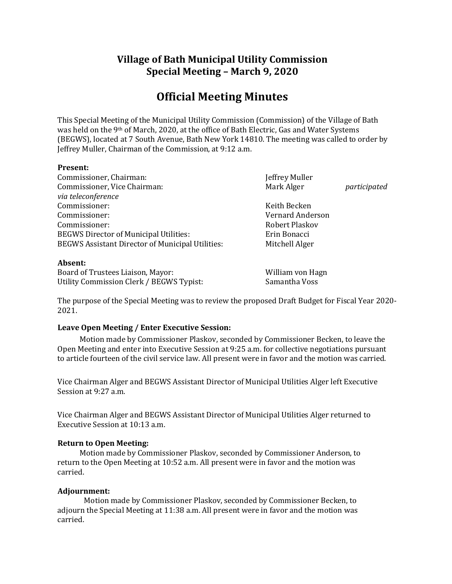## **Village of Bath Municipal Utility Commission Special Meeting – March 9, 2020**

# **Official Meeting Minutes**

This Special Meeting of the Municipal Utility Commission (Commission) of the Village of Bath was held on the 9th of March, 2020, at the office of Bath Electric, Gas and Water Systems (BEGWS), located at 7 South Avenue, Bath New York 14810. The meeting was called to order by Jeffrey Muller, Chairman of the Commission, at 9:12 a.m.

#### **Present:**

| Commissioner, Chairman:                                 | Jeffrey Muller        |              |
|---------------------------------------------------------|-----------------------|--------------|
| Commissioner, Vice Chairman:                            | Mark Alger            | participated |
| via teleconference                                      |                       |              |
| Commissioner:                                           | Keith Becken          |              |
| Commissioner:                                           | Vernard Anderson      |              |
| Commissioner:                                           | <b>Robert Plaskov</b> |              |
| <b>BEGWS Director of Municipal Utilities:</b>           | Erin Bonacci          |              |
| <b>BEGWS Assistant Director of Municipal Utilities:</b> | Mitchell Alger        |              |
|                                                         |                       |              |

#### **Absent:**

Board of Trustees Liaison, Mayor: William von Hagn Utility Commission Clerk / BEGWS Typist: Samantha Voss

The purpose of the Special Meeting was to review the proposed Draft Budget for Fiscal Year 2020- 2021.

### **Leave Open Meeting / Enter Executive Session:**

Motion made by Commissioner Plaskov, seconded by Commissioner Becken, to leave the Open Meeting and enter into Executive Session at 9:25 a.m. for collective negotiations pursuant to article fourteen of the civil service law. All present were in favor and the motion was carried.

Vice Chairman Alger and BEGWS Assistant Director of Municipal Utilities Alger left Executive Session at 9:27 a.m.

Vice Chairman Alger and BEGWS Assistant Director of Municipal Utilities Alger returned to Executive Session at 10:13 a.m.

### **Return to Open Meeting:**

Motion made by Commissioner Plaskov, seconded by Commissioner Anderson, to return to the Open Meeting at 10:52 a.m. All present were in favor and the motion was carried.

### **Adjournment:**

Motion made by Commissioner Plaskov, seconded by Commissioner Becken, to adjourn the Special Meeting at 11:38 a.m. All present were in favor and the motion was carried.